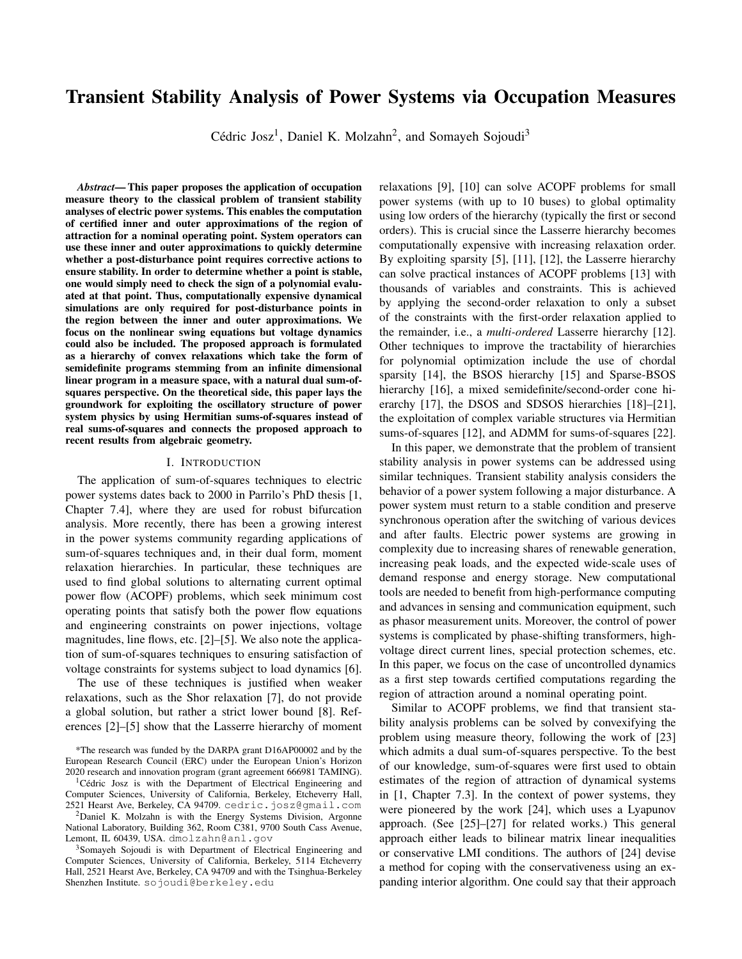# Transient Stability Analysis of Power Systems via Occupation Measures

Cédric Josz<sup>1</sup>, Daniel K. Molzahn<sup>2</sup>, and Somayeh Sojoudi<sup>3</sup>

*Abstract*— This paper proposes the application of occupation measure theory to the classical problem of transient stability analyses of electric power systems. This enables the computation of certified inner and outer approximations of the region of attraction for a nominal operating point. System operators can use these inner and outer approximations to quickly determine whether a post-disturbance point requires corrective actions to ensure stability. In order to determine whether a point is stable, one would simply need to check the sign of a polynomial evaluated at that point. Thus, computationally expensive dynamical simulations are only required for post-disturbance points in the region between the inner and outer approximations. We focus on the nonlinear swing equations but voltage dynamics could also be included. The proposed approach is formulated as a hierarchy of convex relaxations which take the form of semidefinite programs stemming from an infinite dimensional linear program in a measure space, with a natural dual sum-ofsquares perspective. On the theoretical side, this paper lays the groundwork for exploiting the oscillatory structure of power system physics by using Hermitian sums-of-squares instead of real sums-of-squares and connects the proposed approach to recent results from algebraic geometry.

#### I. INTRODUCTION

The application of sum-of-squares techniques to electric power systems dates back to 2000 in Parrilo's PhD thesis [1, Chapter 7.4], where they are used for robust bifurcation analysis. More recently, there has been a growing interest in the power systems community regarding applications of sum-of-squares techniques and, in their dual form, moment relaxation hierarchies. In particular, these techniques are used to find global solutions to alternating current optimal power flow (ACOPF) problems, which seek minimum cost operating points that satisfy both the power flow equations and engineering constraints on power injections, voltage magnitudes, line flows, etc. [2]–[5]. We also note the application of sum-of-squares techniques to ensuring satisfaction of voltage constraints for systems subject to load dynamics [6].

The use of these techniques is justified when weaker relaxations, such as the Shor relaxation [7], do not provide a global solution, but rather a strict lower bound [8]. References [2]–[5] show that the Lasserre hierarchy of moment relaxations [9], [10] can solve ACOPF problems for small power systems (with up to 10 buses) to global optimality using low orders of the hierarchy (typically the first or second orders). This is crucial since the Lasserre hierarchy becomes computationally expensive with increasing relaxation order. By exploiting sparsity [5], [11], [12], the Lasserre hierarchy can solve practical instances of ACOPF problems [13] with thousands of variables and constraints. This is achieved by applying the second-order relaxation to only a subset of the constraints with the first-order relaxation applied to the remainder, i.e., a *multi-ordered* Lasserre hierarchy [12]. Other techniques to improve the tractability of hierarchies for polynomial optimization include the use of chordal sparsity [14], the BSOS hierarchy [15] and Sparse-BSOS hierarchy [16], a mixed semidefinite/second-order cone hierarchy [17], the DSOS and SDSOS hierarchies [18]–[21], the exploitation of complex variable structures via Hermitian sums-of-squares [12], and ADMM for sums-of-squares [22].

In this paper, we demonstrate that the problem of transient stability analysis in power systems can be addressed using similar techniques. Transient stability analysis considers the behavior of a power system following a major disturbance. A power system must return to a stable condition and preserve synchronous operation after the switching of various devices and after faults. Electric power systems are growing in complexity due to increasing shares of renewable generation, increasing peak loads, and the expected wide-scale uses of demand response and energy storage. New computational tools are needed to benefit from high-performance computing and advances in sensing and communication equipment, such as phasor measurement units. Moreover, the control of power systems is complicated by phase-shifting transformers, highvoltage direct current lines, special protection schemes, etc. In this paper, we focus on the case of uncontrolled dynamics as a first step towards certified computations regarding the region of attraction around a nominal operating point.

Similar to ACOPF problems, we find that transient stability analysis problems can be solved by convexifying the problem using measure theory, following the work of [23] which admits a dual sum-of-squares perspective. To the best of our knowledge, sum-of-squares were first used to obtain estimates of the region of attraction of dynamical systems in [1, Chapter 7.3]. In the context of power systems, they were pioneered by the work [24], which uses a Lyapunov approach. (See [25]–[27] for related works.) This general approach either leads to bilinear matrix linear inequalities or conservative LMI conditions. The authors of [24] devise a method for coping with the conservativeness using an expanding interior algorithm. One could say that their approach

<sup>\*</sup>The research was funded by the DARPA grant D16AP00002 and by the European Research Council (ERC) under the European Union's Horizon 2020 research and innovation program (grant agreement 666981 TAMING).

<sup>&</sup>lt;sup>1</sup>Cédric Josz is with the Department of Electrical Engineering and Computer Sciences, University of California, Berkeley, Etcheverry Hall, 2521 Hearst Ave, Berkeley, CA 94709. cedric.josz@gmail.com

<sup>2</sup>Daniel K. Molzahn is with the Energy Systems Division, Argonne National Laboratory, Building 362, Room C381, 9700 South Cass Avenue, Lemont, IL 60439, USA. dmolzahn@anl.gov

<sup>&</sup>lt;sup>3</sup>Somayeh Sojoudi is with Department of Electrical Engineering and Computer Sciences, University of California, Berkeley, 5114 Etcheverry Hall, 2521 Hearst Ave, Berkeley, CA 94709 and with the Tsinghua-Berkeley Shenzhen Institute. sojoudi@berkeley.edu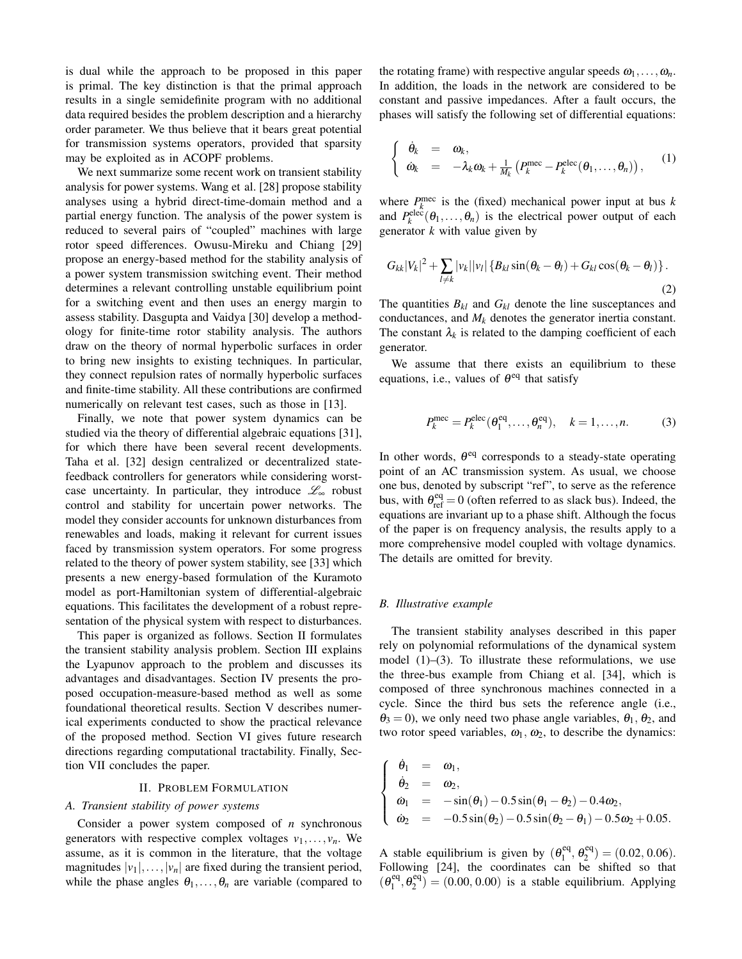is dual while the approach to be proposed in this paper is primal. The key distinction is that the primal approach results in a single semidefinite program with no additional data required besides the problem description and a hierarchy order parameter. We thus believe that it bears great potential for transmission systems operators, provided that sparsity may be exploited as in ACOPF problems.

We next summarize some recent work on transient stability analysis for power systems. Wang et al. [28] propose stability analyses using a hybrid direct-time-domain method and a partial energy function. The analysis of the power system is reduced to several pairs of "coupled" machines with large rotor speed differences. Owusu-Mireku and Chiang [29] propose an energy-based method for the stability analysis of a power system transmission switching event. Their method determines a relevant controlling unstable equilibrium point for a switching event and then uses an energy margin to assess stability. Dasgupta and Vaidya [30] develop a methodology for finite-time rotor stability analysis. The authors draw on the theory of normal hyperbolic surfaces in order to bring new insights to existing techniques. In particular, they connect repulsion rates of normally hyperbolic surfaces and finite-time stability. All these contributions are confirmed numerically on relevant test cases, such as those in [13].

Finally, we note that power system dynamics can be studied via the theory of differential algebraic equations [31], for which there have been several recent developments. Taha et al. [32] design centralized or decentralized statefeedback controllers for generators while considering worstcase uncertainty. In particular, they introduce  $\mathscr{L}_{\infty}$  robust control and stability for uncertain power networks. The model they consider accounts for unknown disturbances from renewables and loads, making it relevant for current issues faced by transmission system operators. For some progress related to the theory of power system stability, see [33] which presents a new energy-based formulation of the Kuramoto model as port-Hamiltonian system of differential-algebraic equations. This facilitates the development of a robust representation of the physical system with respect to disturbances.

This paper is organized as follows. Section II formulates the transient stability analysis problem. Section III explains the Lyapunov approach to the problem and discusses its advantages and disadvantages. Section IV presents the proposed occupation-measure-based method as well as some foundational theoretical results. Section V describes numerical experiments conducted to show the practical relevance of the proposed method. Section VI gives future research directions regarding computational tractability. Finally, Section VII concludes the paper.

## II. PROBLEM FORMULATION

# *A. Transient stability of power systems*

Consider a power system composed of *n* synchronous generators with respective complex voltages  $v_1, \ldots, v_n$ . We assume, as it is common in the literature, that the voltage magnitudes  $|v_1|, \ldots, |v_n|$  are fixed during the transient period, while the phase angles  $\theta_1, \ldots, \theta_n$  are variable (compared to the rotating frame) with respective angular speeds  $\omega_1, \ldots, \omega_n$ . In addition, the loads in the network are considered to be constant and passive impedances. After a fault occurs, the phases will satisfy the following set of differential equations:

$$
\begin{cases}\n\dot{\theta}_k = \omega_k, \\
\dot{\omega}_k = -\lambda_k \omega_k + \frac{1}{M_k} \left( P_k^{\text{mec}} - P_k^{\text{elec}}(\theta_1, \dots, \theta_n) \right),\n\end{cases} (1)
$$

where  $P_k^{\text{mec}}$  is the (fixed) mechanical power input at bus *k* and  $P_k^{\text{elec}}(\theta_1,\ldots,\theta_n)$  is the electrical power output of each generator *k* with value given by

$$
G_{kk}|V_k|^2 + \sum_{l \neq k} |v_k||v_l| \left\{ B_{kl} \sin(\theta_k - \theta_l) + G_{kl} \cos(\theta_k - \theta_l) \right\}.
$$
\n(2)

The quantities  $B_{kl}$  and  $G_{kl}$  denote the line susceptances and conductances, and  $M_k$  denotes the generator inertia constant. The constant  $\lambda_k$  is related to the damping coefficient of each generator.

We assume that there exists an equilibrium to these equations, i.e., values of  $\theta^{\text{eq}}$  that satisfy

$$
P_k^{\text{mec}} = P_k^{\text{elec}}(\theta_1^{\text{eq}}, \dots, \theta_n^{\text{eq}}), \quad k = 1, \dots, n. \tag{3}
$$

In other words,  $\theta$ <sup>eq</sup> corresponds to a steady-state operating point of an AC transmission system. As usual, we choose one bus, denoted by subscript "ref", to serve as the reference bus, with  $\theta_{\text{ref}}^{\text{eq}} = 0$  (often referred to as slack bus). Indeed, the equations are invariant up to a phase shift. Although the focus of the paper is on frequency analysis, the results apply to a more comprehensive model coupled with voltage dynamics. The details are omitted for brevity.

## *B. Illustrative example*

The transient stability analyses described in this paper rely on polynomial reformulations of the dynamical system model  $(1)$ – $(3)$ . To illustrate these reformulations, we use the three-bus example from Chiang et al. [34], which is composed of three synchronous machines connected in a cycle. Since the third bus sets the reference angle (i.e.,  $\theta_3 = 0$ ), we only need two phase angle variables,  $\theta_1$ ,  $\theta_2$ , and two rotor speed variables,  $\omega_1$ ,  $\omega_2$ , to describe the dynamics:

$$
\begin{cases}\n\dot{\theta}_1 = \omega_1, \\
\dot{\theta}_2 = \omega_2, \\
\dot{\omega}_1 = -\sin(\theta_1) - 0.5\sin(\theta_1 - \theta_2) - 0.4\omega_2, \\
\dot{\omega}_2 = -0.5\sin(\theta_2) - 0.5\sin(\theta_2 - \theta_1) - 0.5\omega_2 + 0.05.\n\end{cases}
$$

A stable equilibrium is given by  $(\theta_1^{\text{eq}})$  $\theta_1^{\text{eq}}, \theta_2^{\text{eq}}$  $\binom{eq}{2} = (0.02, 0.06).$ Following [24], the coordinates can be shifted so that  $(\theta_1^{\text{eq}})$  $\theta_1^{\text{eq}}, \theta_2^{\text{eq}}$  $\mathcal{L}_2^{eq}$  = (0.00, 0.00) is a stable equilibrium. Applying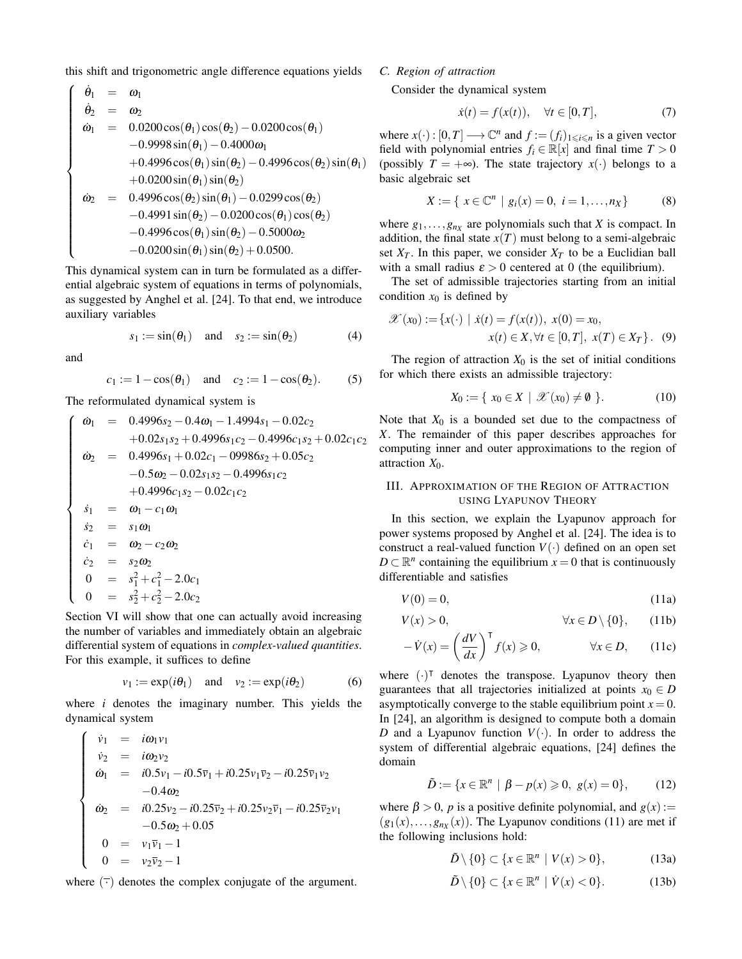this shift and trigonometric angle difference equations yields

$$
\begin{cases}\n\dot{\theta}_1 = \omega_1 \\
\dot{\theta}_2 = \omega_2 \\
\dot{\omega}_1 = 0.0200 \cos(\theta_1) \cos(\theta_2) - 0.0200 \cos(\theta_1) \\
-0.9998 \sin(\theta_1) - 0.4000 \omega_1 \\
+ 0.4996 \cos(\theta_1) \sin(\theta_2) - 0.4996 \cos(\theta_2) \sin(\theta_1) \\
+ 0.0200 \sin(\theta_1) \sin(\theta_2) \\
\dot{\omega}_2 = 0.4996 \cos(\theta_2) \sin(\theta_1) - 0.0299 \cos(\theta_2) \\
- 0.4991 \sin(\theta_2) - 0.0200 \cos(\theta_1) \cos(\theta_2) \\
- 0.4996 \cos(\theta_1) \sin(\theta_2) - 0.5000 \omega_2 \\
- 0.0200 \sin(\theta_1) \sin(\theta_2) + 0.0500.\n\end{cases}
$$

This dynamical system can in turn be formulated as a differential algebraic system of equations in terms of polynomials, as suggested by Anghel et al. [24]. To that end, we introduce auxiliary variables

$$
s_1 := \sin(\theta_1) \quad \text{and} \quad s_2 := \sin(\theta_2) \tag{4}
$$

and

$$
c_1 := 1 - \cos(\theta_1)
$$
 and  $c_2 := 1 - \cos(\theta_2)$ . (5)

The reformulated dynamical system is

$$
\begin{cases}\n\dot{\omega}_1 = 0.4996s_2 - 0.4\omega_1 - 1.4994s_1 - 0.02c_2 \\
+ 0.02s_1s_2 + 0.4996s_1c_2 - 0.4996c_1s_2 + 0.02c_1c_2 \\
\dot{\omega}_2 = 0.4996s_1 + 0.02c_1 - 09986s_2 + 0.05c_2 \\
- 0.5\omega_2 - 0.02s_1s_2 - 0.4996s_1c_2 \\
+ 0.4996c_1s_2 - 0.02c_1c_2 \\
s_1 = \omega_1 - c_1\omega_1 \\
s_2 = s_1\omega_1 \\
\dot{c}_1 = \omega_2 - c_2\omega_2 \\
\dot{c}_2 = s_2\omega_2 \\
0 = s_1^2 + c_1^2 - 2.0c_1 \\
0 = s_2^2 + c_2^2 - 2.0c_2\n\end{cases}
$$

Section VI will show that one can actually avoid increasing the number of variables and immediately obtain an algebraic differential system of equations in *complex-valued quantities*. For this example, it suffices to define

$$
v_1 := \exp(i\theta_1) \quad \text{and} \quad v_2 := \exp(i\theta_2) \tag{6}
$$

where *i* denotes the imaginary number. This yields the dynamical system

$$
\begin{cases}\n\dot{v}_1 = i\omega_1 v_1 \\
\dot{v}_2 = i\omega_2 v_2 \\
\dot{\omega}_1 = i0.5v_1 - i0.5\overline{v}_1 + i0.25v_1\overline{v}_2 - i0.25\overline{v}_1v_2 \\
-0.4\omega_2 \\
\dot{\omega}_2 = i0.25v_2 - i0.25\overline{v}_2 + i0.25v_2\overline{v}_1 - i0.25\overline{v}_2v_1 \\
-0.5\omega_2 + 0.05 \\
0 = v_1\overline{v}_1 - 1 \\
0 = v_2\overline{v}_2 - 1\n\end{cases}
$$

where  $(\bar{\cdot})$  denotes the complex conjugate of the argument.

# *C. Region of attraction*

Consider the dynamical system

$$
\dot{x}(t) = f(x(t)), \quad \forall t \in [0, T], \tag{7}
$$

where  $x(\cdot) : [0, T] \longrightarrow \mathbb{C}^n$  and  $f := (f_i)_{1 \leq i \leq n}$  is a given vector field with polynomial entries  $f_i \in \mathbb{R}[x]$  and final time  $T > 0$ (possibly  $T = +\infty$ ). The state trajectory  $x(\cdot)$  belongs to a basic algebraic set

$$
X := \{ x \in \mathbb{C}^n \mid g_i(x) = 0, \ i = 1, \dots, n_X \}
$$
 (8)

where  $g_1, \ldots, g_{n_X}$  are polynomials such that *X* is compact. In addition, the final state  $x(T)$  must belong to a semi-algebraic set  $X_T$ . In this paper, we consider  $X_T$  to be a Euclidian ball with a small radius  $\varepsilon > 0$  centered at 0 (the equilibrium).

The set of admissible trajectories starting from an initial condition  $x_0$  is defined by

$$
\mathcal{X}(x_0) := \{x(\cdot) \mid \dot{x}(t) = f(x(t)), \ x(0) = x_0, \n x(t) \in X, \forall t \in [0, T], \ x(T) \in X_T\}.
$$
 (9)

The region of attraction  $X_0$  is the set of initial conditions for which there exists an admissible trajectory:

$$
X_0 := \{ x_0 \in X \mid \mathcal{X}(x_0) \neq \emptyset \}.
$$
 (10)

Note that  $X_0$  is a bounded set due to the compactness of *X*. The remainder of this paper describes approaches for computing inner and outer approximations to the region of attraction *X*0.

# III. APPROXIMATION OF THE REGION OF ATTRACTION USING LYAPUNOV THEORY

In this section, we explain the Lyapunov approach for power systems proposed by Anghel et al. [24]. The idea is to construct a real-valued function  $V(\cdot)$  defined on an open set *D* ⊂  $\mathbb{R}^n$  containing the equilibrium *x* = 0 that is continuously differentiable and satisfies

$$
V(0) = 0,\t(11a)
$$

$$
V(x) > 0, \qquad \forall x \in D \setminus \{0\}, \qquad (11b)
$$

$$
-\dot{V}(x) = \left(\frac{dV}{dx}\right)^{\mathsf{T}} f(x) \ge 0, \qquad \forall x \in D, \qquad (11c)
$$

where  $(\cdot)^\dagger$  denotes the transpose. Lyapunov theory then guarantees that all trajectories initialized at points  $x_0 \in D$ asymptotically converge to the stable equilibrium point  $x = 0$ . In [24], an algorithm is designed to compute both a domain *D* and a Lyapunov function  $V(\cdot)$ . In order to address the system of differential algebraic equations, [24] defines the domain

$$
\tilde{D} := \{ x \in \mathbb{R}^n \mid \beta - p(x) \geq 0, \ g(x) = 0 \},\tag{12}
$$

where  $\beta > 0$ , *p* is a positive definite polynomial, and  $g(x)$ :=  $(g_1(x),...,g_{n_X}(x))$ . The Lyapunov conditions (11) are met if the following inclusions hold:

$$
\tilde{D}\setminus\{0\}\subset\{x\in\mathbb{R}^n\mid V(x)>0\},\qquad(13a)
$$

$$
\tilde{D}\setminus\{0\}\subset\{x\in\mathbb{R}^n\mid\dot{V}(x)<0\}.\tag{13b}
$$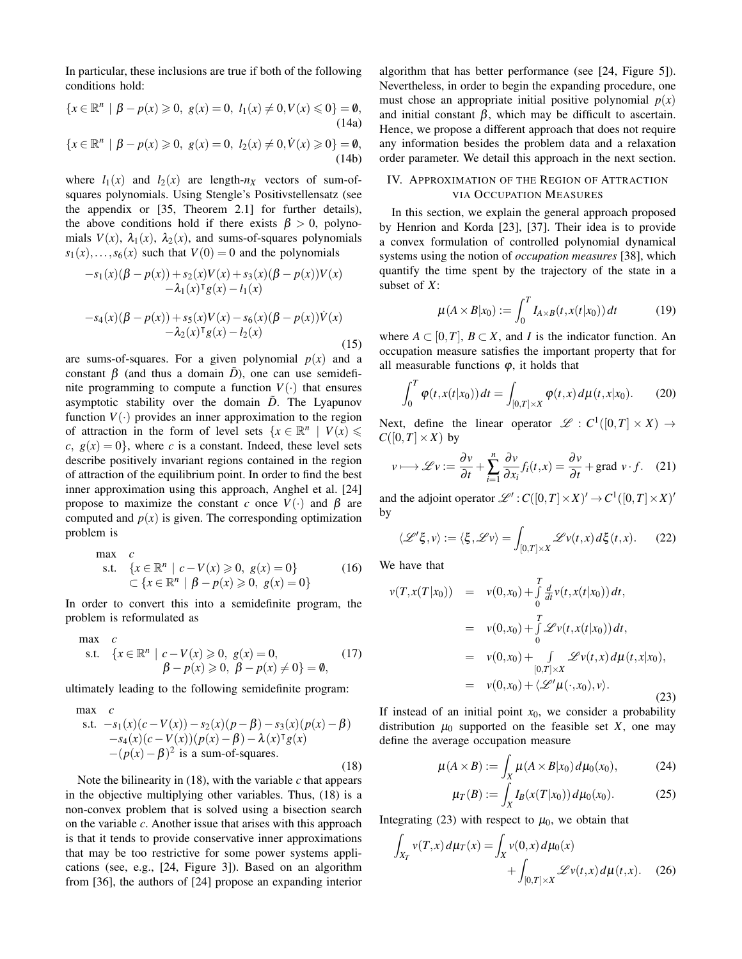In particular, these inclusions are true if both of the following conditions hold:

$$
\{x \in \mathbb{R}^n \mid \beta - p(x) \geq 0, \ g(x) = 0, \ l_1(x) \neq 0, V(x) \leq 0\} = \emptyset,
$$
\n(14a)

$$
\{x \in \mathbb{R}^n \mid \beta - p(x) \geq 0, \ g(x) = 0, \ l_2(x) \neq 0, \dot{V}(x) \geq 0\} = \emptyset,
$$
\n(14b)

where  $l_1(x)$  and  $l_2(x)$  are length- $n_x$  vectors of sum-ofsquares polynomials. Using Stengle's Positivstellensatz (see the appendix or [35, Theorem 2.1] for further details), the above conditions hold if there exists  $\beta > 0$ , polynomials  $V(x)$ ,  $\lambda_1(x)$ ,  $\lambda_2(x)$ , and sums-of-squares polynomials  $s_1(x), \ldots, s_6(x)$  such that  $V(0) = 0$  and the polynomials

$$
-s_1(x)(\beta - p(x)) + s_2(x)V(x) + s_3(x)(\beta - p(x))V(x)
$$
  
\n
$$
- \lambda_1(x)^{\mathsf{T}}g(x) - l_1(x)
$$
  
\n
$$
-s_4(x)(\beta - p(x)) + s_5(x)V(x) - s_6(x)(\beta - p(x))V(x)
$$
  
\n
$$
- \lambda_2(x)^{\mathsf{T}}g(x) - l_2(x)
$$
\n(15)

are sums-of-squares. For a given polynomial  $p(x)$  and a constant β (and thus a domain  $\tilde{D}$ ), one can use semidefinite programming to compute a function  $V(\cdot)$  that ensures asymptotic stability over the domain  $\tilde{D}$ . The Lyapunov function  $V(\cdot)$  provides an inner approximation to the region of attraction in the form of level sets  $\{x \in \mathbb{R}^n \mid V(x) \leq$  $c, g(x) = 0$ , where *c* is a constant. Indeed, these level sets describe positively invariant regions contained in the region of attraction of the equilibrium point. In order to find the best inner approximation using this approach, Anghel et al. [24] propose to maximize the constant *c* once  $V(\cdot)$  and  $\beta$  are computed and  $p(x)$  is given. The corresponding optimization problem is

max c  
s.t. 
$$
\{x \in \mathbb{R}^n | c - V(x) \ge 0, g(x) = 0\}
$$
 (16)  
 $\subset \{x \in \mathbb{R}^n | \beta - p(x) \ge 0, g(x) = 0\}$ 

In order to convert this into a semidefinite program, the problem is reformulated as

max c  
s.t. 
$$
\{x \in \mathbb{R}^n | c - V(x) \ge 0, g(x) = 0,
$$
  
 $\beta - p(x) \ge 0, \beta - p(x) \ne 0\} = \emptyset,$  (17)

ultimately leading to the following semidefinite program:

max   
\ns.t. 
$$
-s_1(x)(c - V(x)) - s_2(x)(p - \beta) - s_3(x)(p(x) - \beta)
$$
  
\n $-s_4(x)(c - V(x))(p(x) - \beta) - \lambda(x)^\text{T}g(x)$   
\n $- (p(x) - \beta)^2$  is a sum-of-squares. (18)

Note the bilinearity in  $(18)$ , with the variable  $c$  that appears in the objective multiplying other variables. Thus, (18) is a non-convex problem that is solved using a bisection search on the variable *c*. Another issue that arises with this approach is that it tends to provide conservative inner approximations that may be too restrictive for some power systems applications (see, e.g., [24, Figure 3]). Based on an algorithm from [36], the authors of [24] propose an expanding interior

algorithm that has better performance (see [24, Figure 5]). Nevertheless, in order to begin the expanding procedure, one must chose an appropriate initial positive polynomial  $p(x)$ and initial constant  $\beta$ , which may be difficult to ascertain. Hence, we propose a different approach that does not require any information besides the problem data and a relaxation order parameter. We detail this approach in the next section.

# IV. APPROXIMATION OF THE REGION OF ATTRACTION VIA OCCUPATION MEASURES

In this section, we explain the general approach proposed by Henrion and Korda [23], [37]. Their idea is to provide a convex formulation of controlled polynomial dynamical systems using the notion of *occupation measures* [38], which quantify the time spent by the trajectory of the state in a subset of *X*:

$$
\mu(A \times B|x_0) := \int_0^T I_{A \times B}(t, x(t|x_0)) dt \tag{19}
$$

where  $A \subset [0, T]$ ,  $B \subset X$ , and *I* is the indicator function. An occupation measure satisfies the important property that for all measurable functions  $\varphi$ , it holds that

$$
\int_0^T \varphi(t, x(t|x_0)) dt = \int_{[0, T] \times X} \varphi(t, x) d\mu(t, x|x_0).
$$
 (20)

Next, define the linear operator  $\mathscr{L} : C^1([0,T] \times X) \to$  $C([0,T]\times X)$  by

$$
v \longmapsto \mathscr{L}v := \frac{\partial v}{\partial t} + \sum_{i=1}^{n} \frac{\partial v}{\partial x_i} f_i(t, x) = \frac{\partial v}{\partial t} + \text{grad } v \cdot f. \quad (21)
$$

and the adjoint operator  $\mathcal{L}'$  :  $C([0,T] \times X)' \to C^1([0,T] \times X)'$ by

$$
\langle \mathcal{L}'\xi, v \rangle := \langle \xi, \mathcal{L}v \rangle = \int_{[0,T] \times X} \mathcal{L}v(t,x) d\xi(t,x). \tag{22}
$$

We have that

$$
v(T, x(T|x_0)) = v(0, x_0) + \int_0^T \frac{d}{dt} v(t, x(t|x_0)) dt,
$$
  
\n
$$
= v(0, x_0) + \int_0^T \mathcal{L}v(t, x(t|x_0)) dt,
$$
  
\n
$$
= v(0, x_0) + \int_{[0, T] \times X} \mathcal{L}v(t, x) d\mu(t, x|x_0),
$$
  
\n
$$
= v(0, x_0) + \langle \mathcal{L}'\mu(\cdot, x_0), v \rangle.
$$
 (23)

If instead of an initial point  $x_0$ , we consider a probability distribution  $\mu_0$  supported on the feasible set *X*, one may define the average occupation measure

$$
\mu(A \times B) := \int_X \mu(A \times B | x_0) d\mu_0(x_0), \tag{24}
$$

$$
\mu_T(B) := \int_X I_B(x(T|x_0)) \, d\mu_0(x_0). \tag{25}
$$

Integrating (23) with respect to  $\mu_0$ , we obtain that

$$
\int_{X_T} v(T, x) d\mu_T(x) = \int_X v(0, x) d\mu_0(x) + \int_{[0, T] \times X} \mathcal{L}v(t, x) d\mu(t, x).
$$
 (26)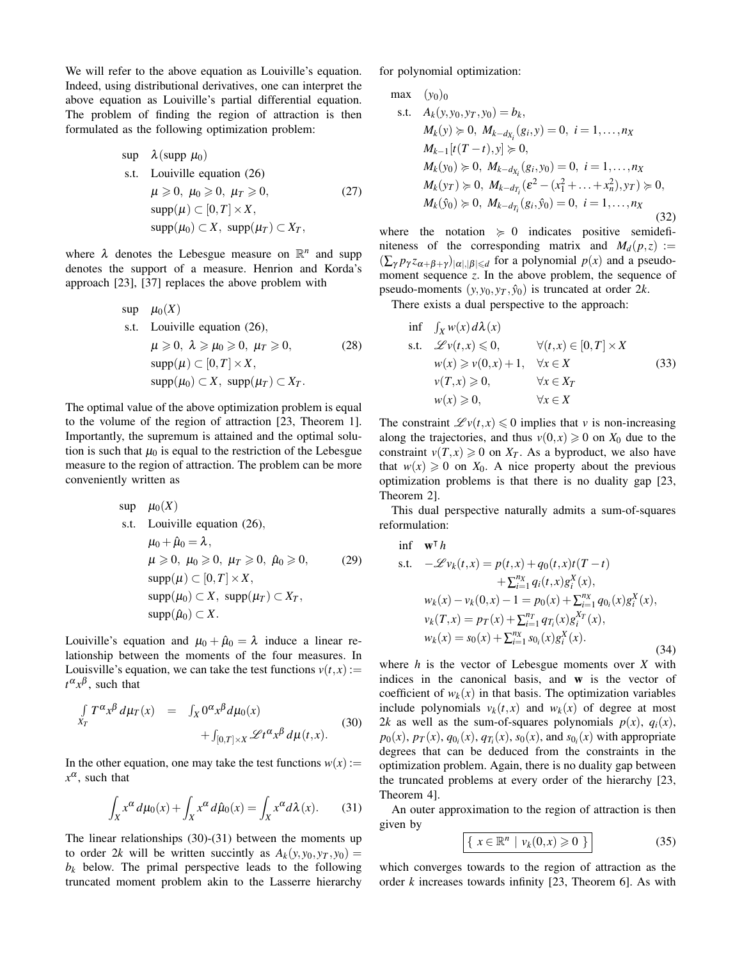We will refer to the above equation as Louiville's equation. Indeed, using distributional derivatives, one can interpret the above equation as Louiville's partial differential equation. The problem of finding the region of attraction is then formulated as the following optimization problem:

$$
\begin{aligned}\n\text{sup} \quad & \lambda(\text{supp }\mu_0) \\
\text{s.t.} \quad & \text{Louisille equation (26)} \\
& \mu \geqslant 0, \ \mu_0 \geqslant 0, \ \mu_T \geqslant 0, \\
& \text{supp}(\mu) \subset [0, T] \times X, \\
& \text{supp}(\mu_0) \subset X, \ \text{supp}(\mu_T) \subset X_T,\n\end{aligned}\n\tag{27}
$$

where  $\lambda$  denotes the Lebesgue measure on  $\mathbb{R}^n$  and supp denotes the support of a measure. Henrion and Korda's approach [23], [37] replaces the above problem with

$$
μ0(X)
$$
  
s.t. Louiville equation (26),  

$$
μ ≥ 0, λ ≥ μ0 ≥ 0, μT ≥ 0,
$$
  

$$
supp(μ) ⊂ [0, T] × X,
$$
  

$$
supp(μ0) ⊂ X, supp(μT) ⊂ XT.
$$
 (28)

The optimal value of the above optimization problem is equal to the volume of the region of attraction [23, Theorem 1]. Importantly, the supremum is attained and the optimal solution is such that  $\mu_0$  is equal to the restriction of the Lebesgue measure to the region of attraction. The problem can be more conveniently written as

$$
\begin{aligned}\n\sup \ \mu_0(X) \\
\text{s.t.} \ \text{Louisille equation (26)}, \\
\mu_0 + \hat{\mu}_0 &= \lambda, \\
\mu \geq 0, \ \mu_0 \geq 0, \ \mu_T \geq 0, \ \hat{\mu}_0 \geq 0, \\
\supp(\mu) & \subset [0, T] \times X, \\
\supp(\mu_0) & \subset X, \ \supp(\mu_T) \subset X_T, \\
\supp(\hat{\mu}_0) & \subset X.\n\end{aligned}
$$
\n(29)

Louiville's equation and  $\mu_0 + \hat{\mu}_0 = \lambda$  induce a linear relationship between the moments of the four measures. In Louisville's equation, we can take the test functions  $v(t, x) :=$  $t^{\alpha}$ <sub>x</sub> $\beta$ , such that

$$
\int_{X_T} T^{\alpha} x^{\beta} d\mu_T(x) = \int_X 0^{\alpha} x^{\beta} d\mu_0(x) \n+ \int_{[0,T] \times X} \mathcal{L} t^{\alpha} x^{\beta} d\mu(t,x).
$$
\n(30)

In the other equation, one may take the test functions  $w(x)$ :  $x^{\alpha}$ , such that

$$
\int_X x^{\alpha} d\mu_0(x) + \int_X x^{\alpha} d\hat{\mu}_0(x) = \int_X x^{\alpha} d\lambda(x). \tag{31}
$$

The linear relationships (30)-(31) between the moments up to order 2*k* will be written succintly as  $A_k(y, y_0, y_T, y_0) =$  $b_k$  below. The primal perspective leads to the following truncated moment problem akin to the Lasserre hierarchy for polynomial optimization:

max  $(y_0)_0$ 

s.t. 
$$
A_k(y, y_0, y_T, y_0) = b_k
$$
,  
\n $M_k(y) \ge 0$ ,  $M_{k-d_{X_i}}(g_i, y) = 0$ ,  $i = 1, ..., n_X$   
\n $M_{k-1}[t(T - t), y] \ge 0$ ,  
\n $M_k(y_0) \ge 0$ ,  $M_{k-d_{X_i}}(g_i, y_0) = 0$ ,  $i = 1, ..., n_X$   
\n $M_k(y_T) \ge 0$ ,  $M_{k-d_{T_i}}(\varepsilon^2 - (x_1^2 + ... + x_n^2), y_T) \ge 0$ ,  
\n $M_k(\hat{y}_0) \ge 0$ ,  $M_{k-d_{T_i}}(g_i, \hat{y}_0) = 0$ ,  $i = 1, ..., n_X$  (32)

where the notation  $\succeq 0$  indicates positive semidefiniteness of the corresponding matrix and  $M_d(p, z) :=$  $(\sum_{\gamma} p_{\gamma} z_{\alpha+\beta+\gamma})_{|\alpha|,|\beta| \le d}$  for a polynomial  $p(x)$  and a pseudomoment sequence *z*. In the above problem, the sequence of pseudo-moments  $(y, y_0, y_T, \hat{y}_0)$  is truncated at order 2*k*.

There exists a dual perspective to the approach:

$$
\begin{aligned}\n\inf \quad & \int_X w(x) \, d\lambda(x) \\
\text{s.t.} \quad & \mathcal{L}v(t,x) \le 0, \qquad \forall (t,x) \in [0,T] \times X \\
& w(x) \ge v(0,x) + 1, \quad \forall x \in X \\
& v(T,x) \ge 0, \qquad \forall x \in X_T \\
& w(x) \ge 0, \qquad \forall x \in X\n\end{aligned} \tag{33}
$$

The constraint  $\mathcal{L} v(t, x) \leq 0$  implies that *v* is non-increasing along the trajectories, and thus  $v(0, x) \ge 0$  on  $X_0$  due to the constraint  $v(T, x) \ge 0$  on  $X_T$ . As a byproduct, we also have that  $w(x) \geq 0$  on  $X_0$ . A nice property about the previous optimization problems is that there is no duality gap [23, Theorem 2].

This dual perspective naturally admits a sum-of-squares reformulation:

$$
\begin{aligned}\n\inf \quad & \mathbf{w}^\top h \\
\text{s.t.} \quad & -\mathcal{L}v_k(t,x) = p(t,x) + q_0(t,x)t(T-t) \\
&\quad + \sum_{i=1}^{n_X} q_i(t,x)g_i^X(x), \\
w_k(x) - v_k(0,x) - 1 &= p_0(x) + \sum_{i=1}^{n_X} q_{0_i}(x)g_i^X(x), \\
v_k(T,x) &= p_T(x) + \sum_{i=1}^{n_T} q_{T_i}(x)g_i^X(x), \\
w_k(x) &= s_0(x) + \sum_{i=1}^{n_X} s_{0_i}(x)g_i^X(x).\n\end{aligned} \tag{34}
$$

where *h* is the vector of Lebesgue moments over *X* with indices in the canonical basis, and w is the vector of coefficient of  $w_k(x)$  in that basis. The optimization variables include polynomials  $v_k(t, x)$  and  $w_k(x)$  of degree at most 2*k* as well as the sum-of-squares polynomials  $p(x)$ ,  $q_i(x)$ ,  $p_0(x)$ ,  $p_T(x)$ ,  $q_{0i}(x)$ ,  $q_{T_i}(x)$ ,  $s_0(x)$ , and  $s_{0i}(x)$  with appropriate degrees that can be deduced from the constraints in the optimization problem. Again, there is no duality gap between the truncated problems at every order of the hierarchy [23, Theorem 4].

An outer approximation to the region of attraction is then given by

$$
\boxed{\left\{ \ x \in \mathbb{R}^n \mid v_k(0, x) \geqslant 0 \ \right\}}
$$
\n(35)

which converges towards to the region of attraction as the order *k* increases towards infinity [23, Theorem 6]. As with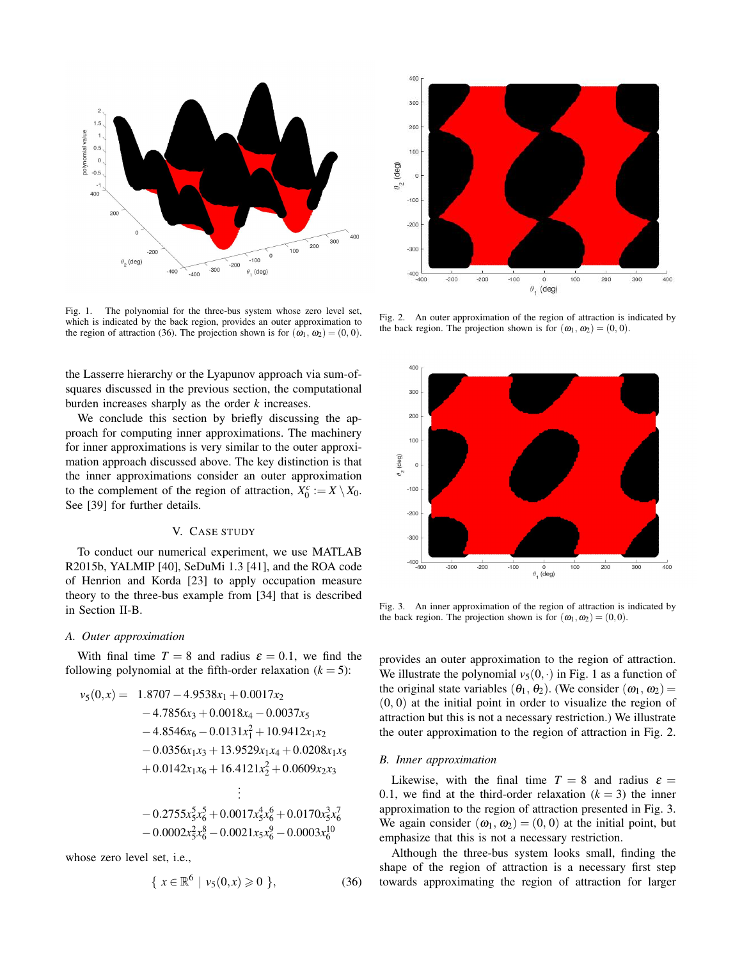

Fig. 1. The polynomial for the three-bus system whose zero level set, which is indicated by the back region, provides an outer approximation to the region of attraction (36). The projection shown is for  $(\omega_1, \omega_2) = (0, 0)$ .

the Lasserre hierarchy or the Lyapunov approach via sum-ofsquares discussed in the previous section, the computational burden increases sharply as the order *k* increases.

We conclude this section by briefly discussing the approach for computing inner approximations. The machinery for inner approximations is very similar to the outer approximation approach discussed above. The key distinction is that the inner approximations consider an outer approximation to the complement of the region of attraction,  $X_0^c := X \setminus X_0$ . See [39] for further details.

## V. CASE STUDY

To conduct our numerical experiment, we use MATLAB R2015b, YALMIP [40], SeDuMi 1.3 [41], and the ROA code of Henrion and Korda [23] to apply occupation measure theory to the three-bus example from [34] that is described in Section II-B.

#### *A. Outer approximation*

With final time  $T = 8$  and radius  $\varepsilon = 0.1$ , we find the following polynomial at the fifth-order relaxation  $(k = 5)$ :

$$
v_5(0,x) = 1.8707 - 4.9538x_1 + 0.0017x_2
$$
  
\n
$$
-4.7856x_3 + 0.0018x_4 - 0.0037x_5
$$
  
\n
$$
-4.8546x_6 - 0.0131x_1^2 + 10.9412x_1x_2
$$
  
\n
$$
-0.0356x_1x_3 + 13.9529x_1x_4 + 0.0208x_1x_5
$$
  
\n
$$
+ 0.0142x_1x_6 + 16.4121x_2^2 + 0.0609x_2x_3
$$
  
\n
$$
\vdots
$$
  
\n
$$
-0.2755x_5^5x_6^5 + 0.0017x_5^4x_6^6 + 0.0170x_5^3x_6^7
$$
  
\n
$$
-0.0002x_5^2x_6^8 - 0.0021x_5x_6^9 - 0.0003x_6^{10}
$$

whose zero level set, i.e.,

$$
\{ x \in \mathbb{R}^6 \mid v_5(0, x) \geq 0 \}, \tag{36}
$$



Fig. 2. An outer approximation of the region of attraction is indicated by the back region. The projection shown is for  $(\omega_1, \omega_2) = (0, 0)$ .



Fig. 3. An inner approximation of the region of attraction is indicated by the back region. The projection shown is for  $(\omega_1, \omega_2) = (0,0)$ .

provides an outer approximation to the region of attraction. We illustrate the polynomial  $v_5(0, \cdot)$  in Fig. 1 as a function of the original state variables  $(\theta_1, \theta_2)$ . (We consider  $(\omega_1, \omega_2)$  =  $(0, 0)$  at the initial point in order to visualize the region of attraction but this is not a necessary restriction.) We illustrate the outer approximation to the region of attraction in Fig. 2.

## *B. Inner approximation*

Likewise, with the final time  $T = 8$  and radius  $\varepsilon =$ 0.1, we find at the third-order relaxation  $(k = 3)$  the inner approximation to the region of attraction presented in Fig. 3. We again consider  $(\omega_1, \omega_2) = (0, 0)$  at the initial point, but emphasize that this is not a necessary restriction.

Although the three-bus system looks small, finding the shape of the region of attraction is a necessary first step towards approximating the region of attraction for larger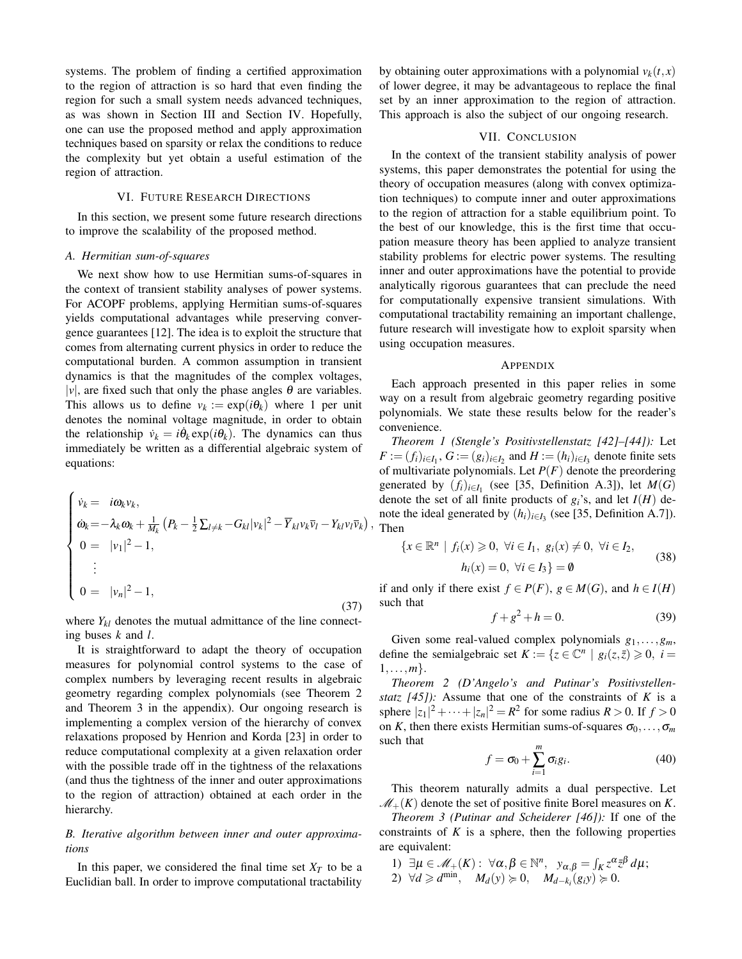systems. The problem of finding a certified approximation to the region of attraction is so hard that even finding the region for such a small system needs advanced techniques, as was shown in Section III and Section IV. Hopefully, one can use the proposed method and apply approximation techniques based on sparsity or relax the conditions to reduce the complexity but yet obtain a useful estimation of the region of attraction.

## VI. FUTURE RESEARCH DIRECTIONS

In this section, we present some future research directions to improve the scalability of the proposed method.

## *A. Hermitian sum-of-squares*

We next show how to use Hermitian sums-of-squares in the context of transient stability analyses of power systems. For ACOPF problems, applying Hermitian sums-of-squares yields computational advantages while preserving convergence guarantees [12]. The idea is to exploit the structure that comes from alternating current physics in order to reduce the computational burden. A common assumption in transient dynamics is that the magnitudes of the complex voltages, | $v$ |, are fixed such that only the phase angles  $\theta$  are variables. This allows us to define  $v_k := \exp(i\theta_k)$  where 1 per unit denotes the nominal voltage magnitude, in order to obtain the relationship  $\dot{v}_k = i\dot{\theta}_k \exp(i\theta_k)$ . The dynamics can thus immediately be written as a differential algebraic system of equations:

$$
\begin{cases}\n\dot{v}_k = i\omega_k v_k, \\
\dot{\omega}_k = -\lambda_k \omega_k + \frac{1}{M_k} \left( P_k - \frac{1}{2} \sum_{l \neq k} -G_{kl} |v_k|^2 - \overline{Y}_{kl} v_k \overline{v}_l - Y_{kl} v_l \overline{v}_k \right), \\
0 = |v_1|^2 - 1, \\
\vdots \\
0 = |v_n|^2 - 1,\n\end{cases}
$$
\n(37)

where  $Y_{kl}$  denotes the mutual admittance of the line connecting buses *k* and *l*.

It is straightforward to adapt the theory of occupation measures for polynomial control systems to the case of complex numbers by leveraging recent results in algebraic geometry regarding complex polynomials (see Theorem 2 and Theorem 3 in the appendix). Our ongoing research is implementing a complex version of the hierarchy of convex relaxations proposed by Henrion and Korda [23] in order to reduce computational complexity at a given relaxation order with the possible trade off in the tightness of the relaxations (and thus the tightness of the inner and outer approximations to the region of attraction) obtained at each order in the hierarchy.

# *B. Iterative algorithm between inner and outer approximations*

In this paper, we considered the final time set  $X_T$  to be a Euclidian ball. In order to improve computational tractability by obtaining outer approximations with a polynomial  $v_k(t, x)$ of lower degree, it may be advantageous to replace the final set by an inner approximation to the region of attraction. This approach is also the subject of our ongoing research.

#### VII. CONCLUSION

In the context of the transient stability analysis of power systems, this paper demonstrates the potential for using the theory of occupation measures (along with convex optimization techniques) to compute inner and outer approximations to the region of attraction for a stable equilibrium point. To the best of our knowledge, this is the first time that occupation measure theory has been applied to analyze transient stability problems for electric power systems. The resulting inner and outer approximations have the potential to provide analytically rigorous guarantees that can preclude the need for computationally expensive transient simulations. With computational tractability remaining an important challenge, future research will investigate how to exploit sparsity when using occupation measures.

#### APPENDIX

Each approach presented in this paper relies in some way on a result from algebraic geometry regarding positive polynomials. We state these results below for the reader's convenience.

*Theorem 1 (Stengle's Positivstellenstatz [42]–[44]):* Let *F* :=  $(f_i)_{i \in I_1}$ ,  $G$  :=  $(g_i)_{i \in I_2}$  and  $H$  :=  $(h_i)_{i \in I_3}$  denote finite sets of multivariate polynomials. Let *P*(*F*) denote the preordering generated by  $(f_i)_{i \in I_1}$  (see [35, Definition A.3]), let  $M(G)$ denote the set of all finite products of  $g_i$ 's, and let  $I(H)$  denote the ideal generated by  $(h_i)_{i \in I_3}$  (see [35, Definition A.7]). Then

$$
\{x \in \mathbb{R}^n \mid f_i(x) \ge 0, \ \forall i \in I_1, \ g_i(x) \ne 0, \ \forall i \in I_2, \\
h_i(x) = 0, \ \forall i \in I_3\} = \emptyset
$$
\n(38)

if and only if there exist  $f \in P(F)$ ,  $g \in M(G)$ , and  $h \in I(H)$ such that

$$
f + g^2 + h = 0.
$$
 (39)

Given some real-valued complex polynomials *g*1,...,*gm*, define the semialgebraic set  $K := \{ z \in \mathbb{C}^n \mid g_i(z, \bar{z}) \geq 0, i =$ 1,...,*m*}.

*Theorem 2 (D'Angelo's and Putinar's Positivstellenstatz [45]):* Assume that one of the constraints of *K* is a sphere  $|z_1|^2 + \cdots + |z_n|^2 = R^2$  for some radius  $R > 0$ . If  $f > 0$ on *K*, then there exists Hermitian sums-of-squares  $\sigma_0, \ldots, \sigma_m$ such that

$$
f = \sigma_0 + \sum_{i=1}^{m} \sigma_i g_i.
$$
 (40)

This theorem naturally admits a dual perspective. Let  $\mathcal{M}_+(K)$  denote the set of positive finite Borel measures on *K*.

*Theorem 3 (Putinar and Scheiderer [46]):* If one of the constraints of  $K$  is a sphere, then the following properties are equivalent:

1)  $\exists \mu \in \mathcal{M}_+(K): \ \forall \alpha, \beta \in \mathbb{N}^n, \ \ y_{\alpha,\beta} = \int_K z^{\alpha} \bar{z}^{\beta} d\mu;$ 2)  $\forall d \geq d^{min}$ ,  $M_d(y) \geq 0$ ,  $M_{d-k_i}(g_i y) \geq 0$ .